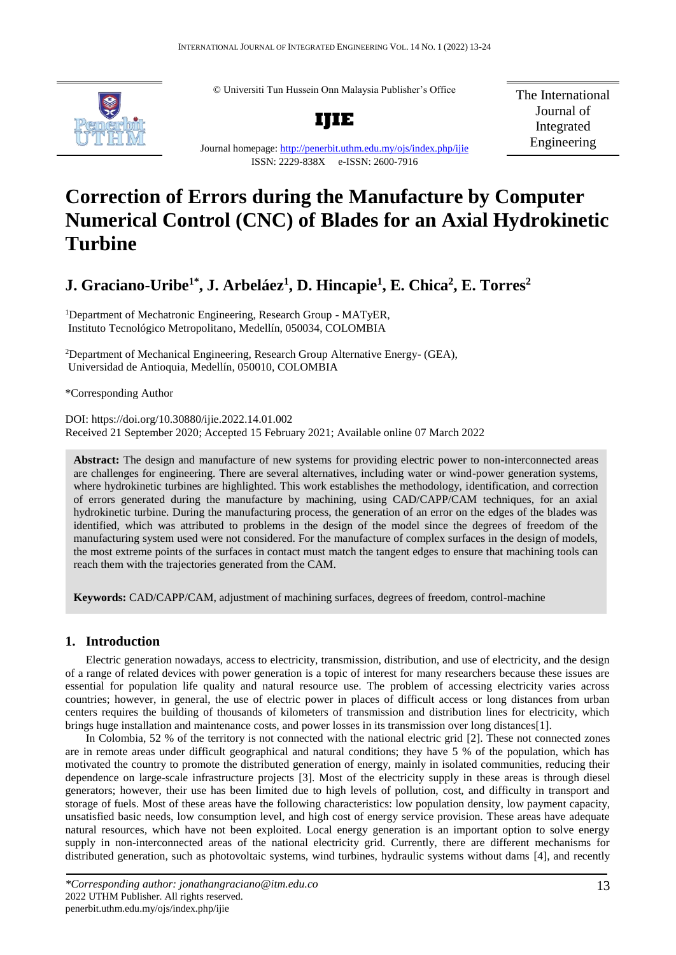© Universiti Tun Hussein Onn Malaysia Publisher's Office



**IJIE**

Journal homepage:<http://penerbit.uthm.edu.my/ojs/index.php/ijie>

ISSN: 2229-838X e-ISSN: 2600-7916

The International Journal of Integrated Engineering

# **Correction of Errors during the Manufacture by Computer Numerical Control (CNC) of Blades for an Axial Hydrokinetic Turbine**

**J. Graciano-Uribe1\* , J. Arbeláez<sup>1</sup> , D. Hincapie<sup>1</sup> , E. Chica<sup>2</sup> , E. Torres<sup>2</sup>**

<sup>1</sup>Department of Mechatronic Engineering, Research Group - MATyER, Instituto Tecnológico Metropolitano, Medellín, 050034, COLOMBIA

<sup>2</sup>Department of Mechanical Engineering, Research Group Alternative Energy- (GEA), Universidad de Antioquia, Medellín, 050010, COLOMBIA

\*Corresponding Author

DOI: https://doi.org/10.30880/ijie.2022.14.01.002 Received 21 September 2020; Accepted 15 February 2021; Available online 07 March 2022

**Abstract:** The design and manufacture of new systems for providing electric power to non-interconnected areas are challenges for engineering. There are several alternatives, including water or wind-power generation systems, where hydrokinetic turbines are highlighted. This work establishes the methodology, identification, and correction of errors generated during the manufacture by machining, using CAD/CAPP/CAM techniques, for an axial hydrokinetic turbine. During the manufacturing process, the generation of an error on the edges of the blades was identified, which was attributed to problems in the design of the model since the degrees of freedom of the manufacturing system used were not considered. For the manufacture of complex surfaces in the design of models, the most extreme points of the surfaces in contact must match the tangent edges to ensure that machining tools can reach them with the trajectories generated from the CAM.

**Keywords:** CAD/CAPP/CAM, adjustment of machining surfaces, degrees of freedom, control-machine

# **1. Introduction**

Electric generation nowadays, access to electricity, transmission, distribution, and use of electricity, and the design of a range of related devices with power generation is a topic of interest for many researchers because these issues are essential for population life quality and natural resource use. The problem of accessing electricity varies across countries; however, in general, the use of electric power in places of difficult access or long distances from urban centers requires the building of thousands of kilometers of transmission and distribution lines for electricity, which brings huge installation and maintenance costs, and power losses in its transmission over long distances[1].

In Colombia, 52 % of the territory is not connected with the national electric grid [2]. These not connected zones are in remote areas under difficult geographical and natural conditions; they have 5 % of the population, which has motivated the country to promote the distributed generation of energy, mainly in isolated communities, reducing their dependence on large-scale infrastructure projects [3]. Most of the electricity supply in these areas is through diesel generators; however, their use has been limited due to high levels of pollution, cost, and difficulty in transport and storage of fuels. Most of these areas have the following characteristics: low population density, low payment capacity, unsatisfied basic needs, low consumption level, and high cost of energy service provision. These areas have adequate natural resources, which have not been exploited. Local energy generation is an important option to solve energy supply in non-interconnected areas of the national electricity grid. Currently, there are different mechanisms for distributed generation, such as photovoltaic systems, wind turbines, hydraulic systems without dams [4], and recently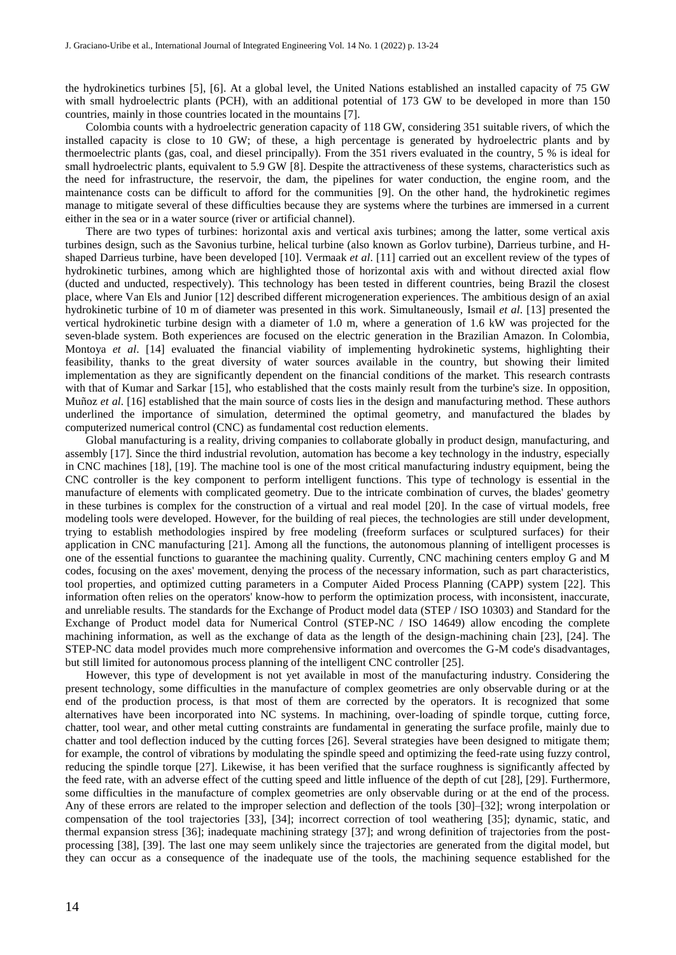the hydrokinetics turbines [5], [6]. At a global level, the United Nations established an installed capacity of 75 GW with small hydroelectric plants (PCH), with an additional potential of 173 GW to be developed in more than 150 countries, mainly in those countries located in the mountains [7].

Colombia counts with a hydroelectric generation capacity of 118 GW, considering 351 suitable rivers, of which the installed capacity is close to 10 GW; of these, a high percentage is generated by hydroelectric plants and by thermoelectric plants (gas, coal, and diesel principally). From the 351 rivers evaluated in the country, 5 % is ideal for small hydroelectric plants, equivalent to 5.9 GW [8]. Despite the attractiveness of these systems, characteristics such as the need for infrastructure, the reservoir, the dam, the pipelines for water conduction, the engine room, and the maintenance costs can be difficult to afford for the communities [9]. On the other hand, the hydrokinetic regimes manage to mitigate several of these difficulties because they are systems where the turbines are immersed in a current either in the sea or in a water source (river or artificial channel).

There are two types of turbines: horizontal axis and vertical axis turbines; among the latter, some vertical axis turbines design, such as the Savonius turbine, helical turbine (also known as Gorlov turbine), Darrieus turbine, and Hshaped Darrieus turbine, have been developed [10]. Vermaak *et al*. [11] carried out an excellent review of the types of hydrokinetic turbines, among which are highlighted those of horizontal axis with and without directed axial flow (ducted and unducted, respectively). This technology has been tested in different countries, being Brazil the closest place, where Van Els and Junior [12] described different microgeneration experiences. The ambitious design of an axial hydrokinetic turbine of 10 m of diameter was presented in this work. Simultaneously, Ismail *et al*. [13] presented the vertical hydrokinetic turbine design with a diameter of 1.0 m, where a generation of 1.6 kW was projected for the seven-blade system. Both experiences are focused on the electric generation in the Brazilian Amazon. In Colombia, Montoya *et al*. [14] evaluated the financial viability of implementing hydrokinetic systems, highlighting their feasibility, thanks to the great diversity of water sources available in the country, but showing their limited implementation as they are significantly dependent on the financial conditions of the market. This research contrasts with that of Kumar and Sarkar [15], who established that the costs mainly result from the turbine's size. In opposition, Muñoz *et al*. [16] established that the main source of costs lies in the design and manufacturing method. These authors underlined the importance of simulation, determined the optimal geometry, and manufactured the blades by computerized numerical control (CNC) as fundamental cost reduction elements.

Global manufacturing is a reality, driving companies to collaborate globally in product design, manufacturing, and assembly [17]. Since the third industrial revolution, automation has become a key technology in the industry, especially in CNC machines [18], [19]. The machine tool is one of the most critical manufacturing industry equipment, being the CNC controller is the key component to perform intelligent functions. This type of technology is essential in the manufacture of elements with complicated geometry. Due to the intricate combination of curves, the blades' geometry in these turbines is complex for the construction of a virtual and real model [20]. In the case of virtual models, free modeling tools were developed. However, for the building of real pieces, the technologies are still under development, trying to establish methodologies inspired by free modeling (freeform surfaces or sculptured surfaces) for their application in CNC manufacturing [21]. Among all the functions, the autonomous planning of intelligent processes is one of the essential functions to guarantee the machining quality. Currently, CNC machining centers employ G and M codes, focusing on the axes' movement, denying the process of the necessary information, such as part characteristics, tool properties, and optimized cutting parameters in a Computer Aided Process Planning (CAPP) system [22]. This information often relies on the operators' know-how to perform the optimization process, with inconsistent, inaccurate, and unreliable results. The standards for the Exchange of Product model data (STEP / ISO 10303) and Standard for the Exchange of Product model data for Numerical Control (STEP-NC / ISO 14649) allow encoding the complete machining information, as well as the exchange of data as the length of the design-machining chain [23], [24]. The STEP-NC data model provides much more comprehensive information and overcomes the G-M code's disadvantages, but still limited for autonomous process planning of the intelligent CNC controller [25].

However, this type of development is not yet available in most of the manufacturing industry. Considering the present technology, some difficulties in the manufacture of complex geometries are only observable during or at the end of the production process, is that most of them are corrected by the operators. It is recognized that some alternatives have been incorporated into NC systems. In machining, over-loading of spindle torque, cutting force, chatter, tool wear, and other metal cutting constraints are fundamental in generating the surface profile, mainly due to chatter and tool deflection induced by the cutting forces [26]. Several strategies have been designed to mitigate them; for example, the control of vibrations by modulating the spindle speed and optimizing the feed-rate using fuzzy control, reducing the spindle torque [27]. Likewise, it has been verified that the surface roughness is significantly affected by the feed rate, with an adverse effect of the cutting speed and little influence of the depth of cut [28], [29]. Furthermore, some difficulties in the manufacture of complex geometries are only observable during or at the end of the process. Any of these errors are related to the improper selection and deflection of the tools [30]–[32]; wrong interpolation or compensation of the tool trajectories [33], [34]; incorrect correction of tool weathering [35]; dynamic, static, and thermal expansion stress [36]; inadequate machining strategy [37]; and wrong definition of trajectories from the postprocessing [38], [39]. The last one may seem unlikely since the trajectories are generated from the digital model, but they can occur as a consequence of the inadequate use of the tools, the machining sequence established for the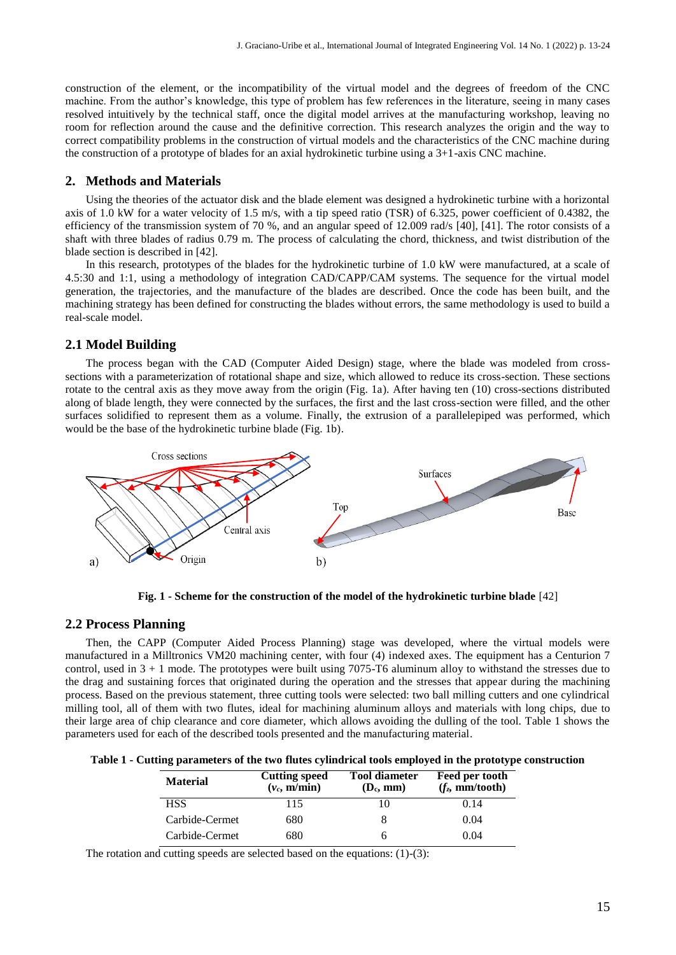construction of the element, or the incompatibility of the virtual model and the degrees of freedom of the CNC machine. From the author's knowledge, this type of problem has few references in the literature, seeing in many cases resolved intuitively by the technical staff, once the digital model arrives at the manufacturing workshop, leaving no room for reflection around the cause and the definitive correction. This research analyzes the origin and the way to correct compatibility problems in the construction of virtual models and the characteristics of the CNC machine during the construction of a prototype of blades for an axial hydrokinetic turbine using a 3+1-axis CNC machine.

#### **2. Methods and Materials**

Using the theories of the actuator disk and the blade element was designed a hydrokinetic turbine with a horizontal axis of 1.0 kW for a water velocity of 1.5 m/s, with a tip speed ratio (TSR) of 6.325, power coefficient of 0.4382, the efficiency of the transmission system of 70 %, and an angular speed of 12.009 rad/s [40], [41]. The rotor consists of a shaft with three blades of radius 0.79 m. The process of calculating the chord, thickness, and twist distribution of the blade section is described in [42].

In this research, prototypes of the blades for the hydrokinetic turbine of 1.0 kW were manufactured, at a scale of 4.5:30 and 1:1, using a methodology of integration CAD/CAPP/CAM systems. The sequence for the virtual model generation, the trajectories, and the manufacture of the blades are described. Once the code has been built, and the machining strategy has been defined for constructing the blades without errors, the same methodology is used to build a real-scale model.

## **2.1 Model Building**

The process began with the CAD (Computer Aided Design) stage, where the blade was modeled from crosssections with a parameterization of rotational shape and size, which allowed to reduce its cross-section. These sections rotate to the central axis as they move away from the origin (Fig. 1a). After having ten (10) cross-sections distributed along of blade length, they were connected by the surfaces, the first and the last cross-section were filled, and the other surfaces solidified to represent them as a volume. Finally, the extrusion of a parallelepiped was performed, which would be the base of the hydrokinetic turbine blade (Fig. 1b).



**Fig. 1 - Scheme for the construction of the model of the hydrokinetic turbine blade** [42]

#### **2.2 Process Planning**

Then, the CAPP (Computer Aided Process Planning) stage was developed, where the virtual models were manufactured in a Milltronics VM20 machining center, with four (4) indexed axes. The equipment has a Centurion 7 control, used in  $3 + 1$  mode. The prototypes were built using 7075-T6 aluminum alloy to withstand the stresses due to the drag and sustaining forces that originated during the operation and the stresses that appear during the machining process. Based on the previous statement, three cutting tools were selected: two ball milling cutters and one cylindrical milling tool, all of them with two flutes, ideal for machining aluminum alloys and materials with long chips, due to their large area of chip clearance and core diameter, which allows avoiding the dulling of the tool. Table 1 shows the parameters used for each of the described tools presented and the manufacturing material.

| Table 1 - Cutting parameters of the two flutes cylindrical tools employed in the prototype construction |  |  |
|---------------------------------------------------------------------------------------------------------|--|--|
|---------------------------------------------------------------------------------------------------------|--|--|

| <b>Material</b> | <b>Cutting speed</b><br>$(v_c, m/min)$ | <b>Tool diameter</b><br>$(D_c, mm)$ | Feed per tooth<br>(f <sub>z</sub> , mm/tooth) |
|-----------------|----------------------------------------|-------------------------------------|-----------------------------------------------|
| <b>HSS</b>      | 115                                    | 10                                  | 0.14                                          |
| Carbide-Cermet  | 680                                    |                                     | 0.04                                          |
| Carbide-Cermet  | 680                                    |                                     | 0.04                                          |

The rotation and cutting speeds are selected based on the equations: (1)-(3):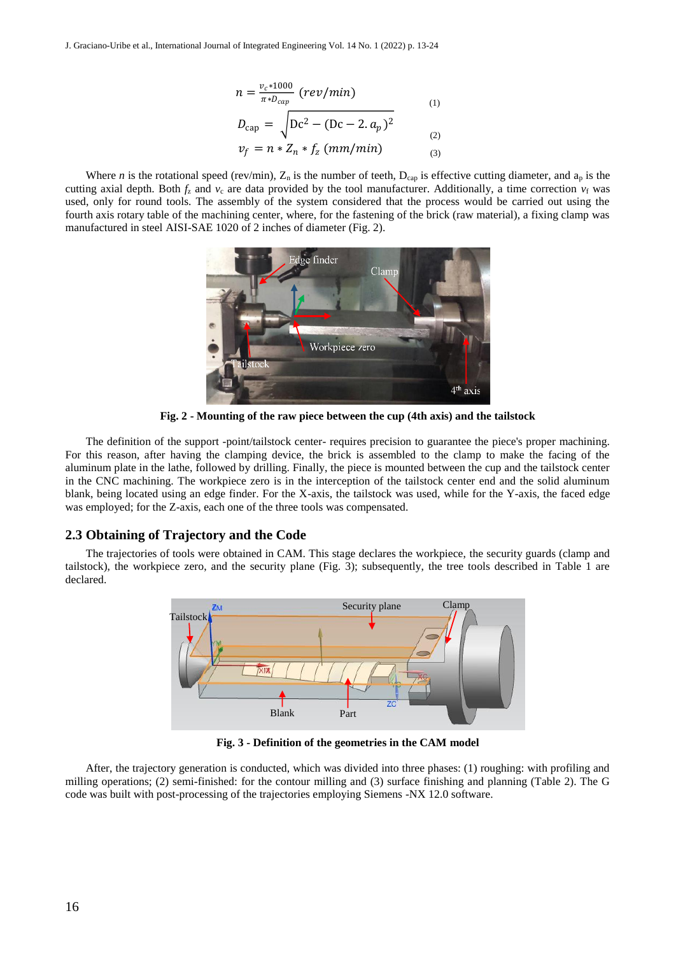$$
n = \frac{v_c * 1000}{\pi * D_{cap}} (rev/min)
$$
\n(1)

$$
D_{\text{cap}} = \sqrt{Dc^2 - (Dc - 2. a_p)^2}
$$
 (2)

 $v_f = n * Z_n * f_z$  (mm/min) (3)

Where *n* is the rotational speed (rev/min),  $Z_n$  is the number of teeth,  $D_{cap}$  is effective cutting diameter, and  $a_p$  is the cutting axial depth. Both  $f_z$  and  $v_c$  are data provided by the tool manufacturer. Additionally, a time correction  $v_f$  was used, only for round tools. The assembly of the system considered that the process would be carried out using the fourth axis rotary table of the machining center, where, for the fastening of the brick (raw material), a fixing clamp was manufactured in steel AISI-SAE 1020 of 2 inches of diameter (Fig. 2).



**Fig. 2 - Mounting of the raw piece between the cup (4th axis) and the tailstock**

 $n =$ <br>  $D_{\text{Cay}}$ <br>
Where *n* is the rotational speed (rev/r<br>
ucting axial depth. Both *f<sub>x</sub>* and *v*, are day<br>
outed, only for round tools. The assembly found to four of four states of any for round to find the manifesture The definition of the support -point/tailstock center- requires precision to guarantee the piece's proper machining. For this reason, after having the clamping device, the brick is assembled to the clamp to make the facing of the aluminum plate in the lathe, followed by drilling. Finally, the piece is mounted between the cup and the tailstock center in the CNC machining. The workpiece zero is in the interception of the tailstock center end and the solid aluminum blank, being located using an edge finder. For the X-axis, the tailstock was used, while for the Y-axis, the faced edge was employed; for the Z-axis, each one of the three tools was compensated.

#### **2.3 Obtaining of Trajectory and the Code**

The trajectories of tools were obtained in CAM. This stage declares the workpiece, the security guards (clamp and tailstock), the workpiece zero, and the security plane (Fig. 3); subsequently, the tree tools described in Table 1 are declared.



**Fig. 3 - Definition of the geometries in the CAM model**

After, the trajectory generation is conducted, which was divided into three phases: (1) roughing: with profiling and milling operations; (2) semi-finished: for the contour milling and (3) surface finishing and planning (Table 2). The G code was built with post-processing of the trajectories employing Siemens -NX 12.0 software.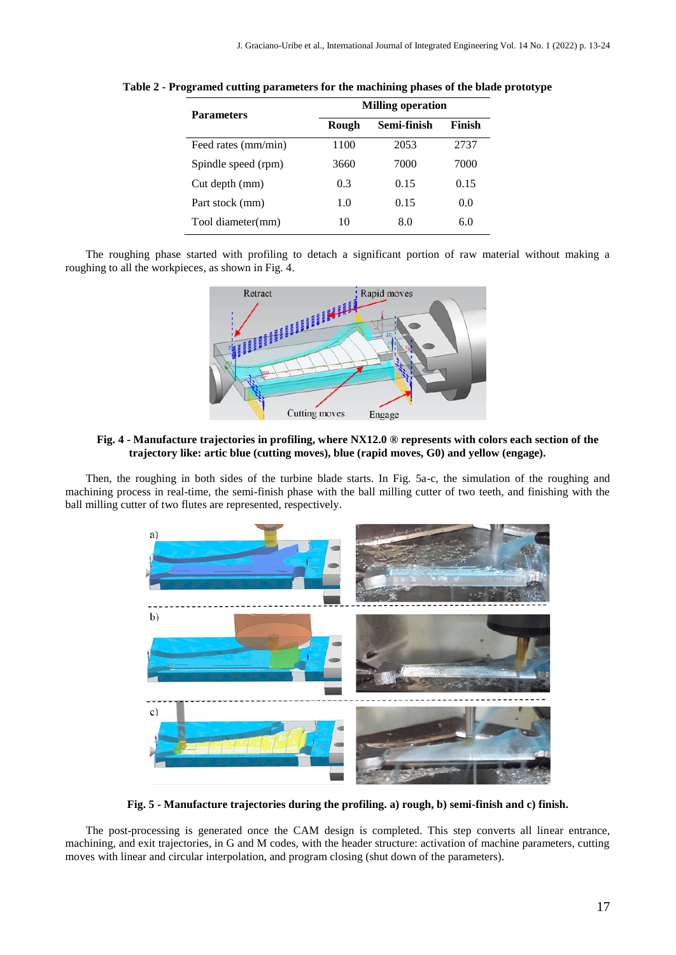| <b>Parameters</b>   | <b>Milling operation</b> |             |        |  |
|---------------------|--------------------------|-------------|--------|--|
|                     | Rough                    | Semi-finish | Finish |  |
| Feed rates (mm/min) | 1100                     | 2053        | 2737   |  |
| Spindle speed (rpm) | 3660                     | 7000        | 7000   |  |
| Cut depth (mm)      | 0.3                      | 0.15        | 0.15   |  |
| Part stock (mm)     | 1.0                      | 0.15        | 0.0    |  |
| Tool diameter(mm)   | 10                       | 8.0         | 6.0    |  |

**Table 2 - Programed cutting parameters for the machining phases of the blade prototype**

The roughing phase started with profiling to detach a significant portion of raw material without making a roughing to all the workpieces, as shown in Fig. 4.



#### **Fig. 4 - Manufacture trajectories in profiling, where NX12.0 ® represents with colors each section of the trajectory like: artic blue (cutting moves), blue (rapid moves, G0) and yellow (engage).**

Then, the roughing in both sides of the turbine blade starts. In Fig. 5a-c, the simulation of the roughing and machining process in real-time, the semi-finish phase with the ball milling cutter of two teeth, and finishing with the ball milling cutter of two flutes are represented, respectively.



**Fig. 5 - Manufacture trajectories during the profiling. a) rough, b) semi-finish and c) finish.**

The post-processing is generated once the CAM design is completed. This step converts all linear entrance, machining, and exit trajectories, in G and M codes, with the header structure: activation of machine parameters, cutting moves with linear and circular interpolation, and program closing (shut down of the parameters).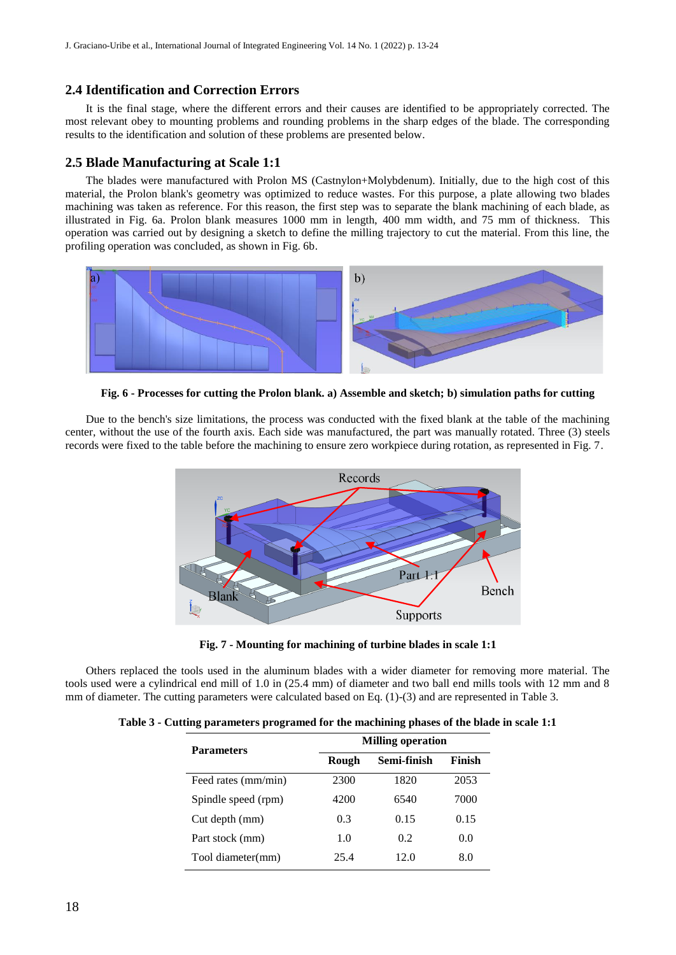## **2.4 Identification and Correction Errors**

It is the final stage, where the different errors and their causes are identified to be appropriately corrected. The most relevant obey to mounting problems and rounding problems in the sharp edges of the blade. The corresponding results to the identification and solution of these problems are presented below.

## **2.5 Blade Manufacturing at Scale 1:1**

The blades were manufactured with Prolon MS (Castnylon+Molybdenum). Initially, due to the high cost of this material, the Prolon blank's geometry was optimized to reduce wastes. For this purpose, a plate allowing two blades machining was taken as reference. For this reason, the first step was to separate the blank machining of each blade, as illustrated in Fig. 6a. Prolon blank measures 1000 mm in length, 400 mm width, and 75 mm of thickness. This operation was carried out by designing a sketch to define the milling trajectory to cut the material. From this line, the profiling operation was concluded, as shown in Fig. 6b.



**Fig. 6 - Processes for cutting the Prolon blank. a) Assemble and sketch; b) simulation paths for cutting**

Due to the bench's size limitations, the process was conducted with the fixed blank at the table of the machining center, without the use of the fourth axis. Each side was manufactured, the part was manually rotated. Three (3) steels records were fixed to the table before the machining to ensure zero workpiece during rotation, as represented in Fig. 7.



**Fig. 7 - Mounting for machining of turbine blades in scale 1:1**

Others replaced the tools used in the aluminum blades with a wider diameter for removing more material. The tools used were a cylindrical end mill of 1.0 in (25.4 mm) of diameter and two ball end mills tools with 12 mm and 8 mm of diameter. The cutting parameters were calculated based on Eq. (1)-(3) and are represented in Table 3.

|  |  |  |  | Table 3 - Cutting parameters programed for the machining phases of the blade in scale 1:1 |
|--|--|--|--|-------------------------------------------------------------------------------------------|
|--|--|--|--|-------------------------------------------------------------------------------------------|

| <b>Parameters</b>   | <b>Milling operation</b> |             |        |  |
|---------------------|--------------------------|-------------|--------|--|
|                     | Rough                    | Semi-finish | Finish |  |
| Feed rates (mm/min) | 2300                     | 1820        | 2053   |  |
| Spindle speed (rpm) | 4200                     | 6540        | 7000   |  |
| Cut depth (mm)      | 0.3                      | 0.15        | 0.15   |  |
| Part stock (mm)     | 1.0                      | 0.2         | 0.0    |  |
| Tool diameter(mm)   | 25.4                     | 12 O        | 8.0    |  |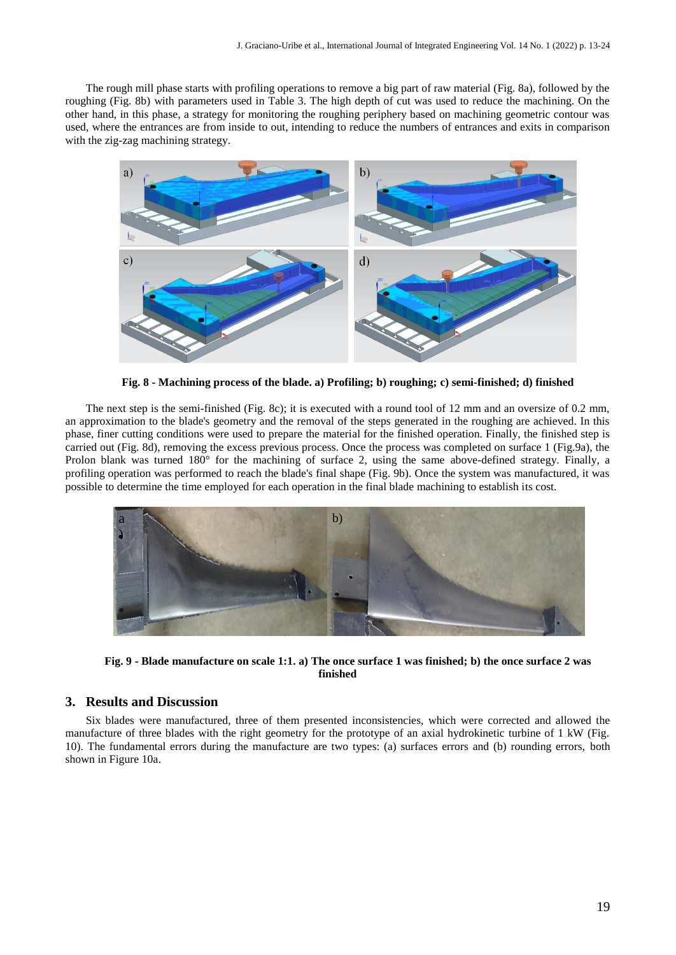The rough mill phase starts with profiling operations to remove a big part of raw material (Fig. 8a), followed by the roughing (Fig. 8b) with parameters used in Table 3. The high depth of cut was used to reduce the machining. On the other hand, in this phase, a strategy for monitoring the roughing periphery based on machining geometric contour was used, where the entrances are from inside to out, intending to reduce the numbers of entrances and exits in comparison with the zig-zag machining strategy.



**Fig. 8 - Machining process of the blade. a) Profiling; b) roughing; c) semi-finished; d) finished**

The next step is the semi-finished (Fig. 8c); it is executed with a round tool of 12 mm and an oversize of 0.2 mm, an approximation to the blade's geometry and the removal of the steps generated in the roughing are achieved. In this phase, finer cutting conditions were used to prepare the material for the finished operation. Finally, the finished step is carried out (Fig. 8d), removing the excess previous process. Once the process was completed on surface 1 (Fig.9a), the Prolon blank was turned 180° for the machining of surface 2, using the same above-defined strategy. Finally, a profiling operation was performed to reach the blade's final shape (Fig. 9b). Once the system was manufactured, it was possible to determine the time employed for each operation in the final blade machining to establish its cost.



**Fig. 9 - Blade manufacture on scale 1:1. a) The once surface 1 was finished; b) the once surface 2 was finished**

#### **3. Results and Discussion**

Six blades were manufactured, three of them presented inconsistencies, which were corrected and allowed the manufacture of three blades with the right geometry for the prototype of an axial hydrokinetic turbine of 1 kW (Fig. 10). The fundamental errors during the manufacture are two types: (a) surfaces errors and (b) rounding errors, both shown in Figure 10a.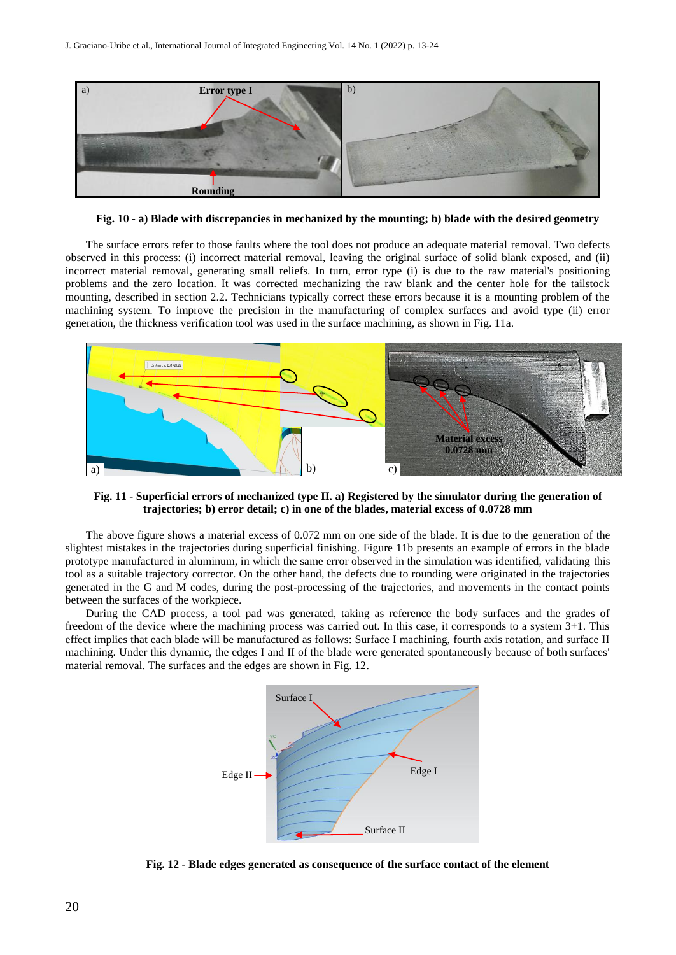

**Fig. 10 - a) Blade with discrepancies in mechanized by the mounting; b) blade with the desired geometry**

The surface errors refer to those faults where the tool does not produce an adequate material removal. Two defects observed in this process: (i) incorrect material removal, leaving the original surface of solid blank exposed, and (ii) incorrect material removal, generating small reliefs. In turn, error type (i) is due to the raw material's positioning problems and the zero location. It was corrected mechanizing the raw blank and the center hole for the tailstock mounting, described in section 2.2. Technicians typically correct these errors because it is a mounting problem of the machining system. To improve the precision in the manufacturing of complex surfaces and avoid type (ii) error generation, the thickness verification tool was used in the surface machining, as shown in Fig. 11a.



**Fig. 11 - Superficial errors of mechanized type II. a) Registered by the simulator during the generation of trajectories; b) error detail; c) in one of the blades, material excess of 0.0728 mm**

The above figure shows a material excess of 0.072 mm on one side of the blade. It is due to the generation of the slightest mistakes in the trajectories during superficial finishing. Figure 11b presents an example of errors in the blade prototype manufactured in aluminum, in which the same error observed in the simulation was identified, validating this tool as a suitable trajectory corrector. On the other hand, the defects due to rounding were originated in the trajectories generated in the G and M codes, during the post-processing of the trajectories, and movements in the contact points between the surfaces of the workpiece.

During the CAD process, a tool pad was generated, taking as reference the body surfaces and the grades of freedom of the device where the machining process was carried out. In this case, it corresponds to a system 3+1. This effect implies that each blade will be manufactured as follows: Surface I machining, fourth axis rotation, and surface II machining. Under this dynamic, the edges I and II of the blade were generated spontaneously because of both surfaces' material removal. The surfaces and the edges are shown in Fig. 12.



**Fig. 12 - Blade edges generated as consequence of the surface contact of the element**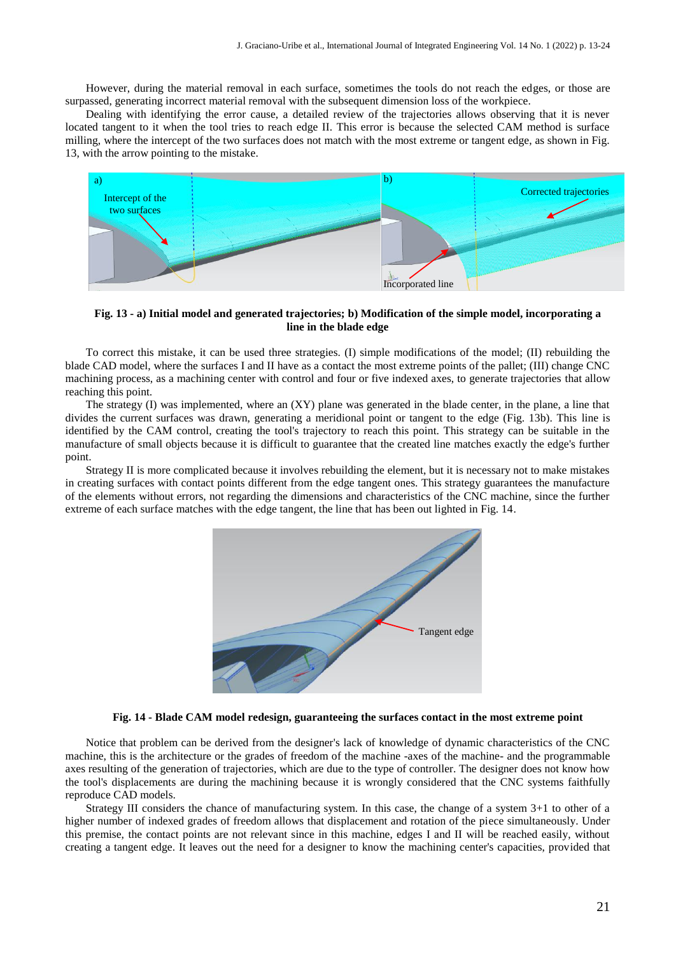However, during the material removal in each surface, sometimes the tools do not reach the edges, or those are surpassed, generating incorrect material removal with the subsequent dimension loss of the workpiece.

Dealing with identifying the error cause, a detailed review of the trajectories allows observing that it is never located tangent to it when the tool tries to reach edge II. This error is because the selected CAM method is surface milling, where the intercept of the two surfaces does not match with the most extreme or tangent edge, as shown in Fig. 13, with the arrow pointing to the mistake.



**Fig. 13 - a) Initial model and generated trajectories; b) Modification of the simple model, incorporating a line in the blade edge**

To correct this mistake, it can be used three strategies. (I) simple modifications of the model; (II) rebuilding the blade CAD model, where the surfaces I and II have as a contact the most extreme points of the pallet; (III) change CNC machining process, as a machining center with control and four or five indexed axes, to generate trajectories that allow reaching this point.

The strategy (I) was implemented, where an  $(XY)$  plane was generated in the blade center, in the plane, a line that divides the current surfaces was drawn, generating a meridional point or tangent to the edge (Fig. 13b). This line is identified by the CAM control, creating the tool's trajectory to reach this point. This strategy can be suitable in the manufacture of small objects because it is difficult to guarantee that the created line matches exactly the edge's further point.

Strategy II is more complicated because it involves rebuilding the element, but it is necessary not to make mistakes in creating surfaces with contact points different from the edge tangent ones. This strategy guarantees the manufacture of the elements without errors, not regarding the dimensions and characteristics of the CNC machine, since the further extreme of each surface matches with the edge tangent, the line that has been out lighted in Fig. 14.



#### **Fig. 14 - Blade CAM model redesign, guaranteeing the surfaces contact in the most extreme point**

Notice that problem can be derived from the designer's lack of knowledge of dynamic characteristics of the CNC machine, this is the architecture or the grades of freedom of the machine -axes of the machine- and the programmable axes resulting of the generation of trajectories, which are due to the type of controller. The designer does not know how the tool's displacements are during the machining because it is wrongly considered that the CNC systems faithfully reproduce CAD models.

Strategy III considers the chance of manufacturing system. In this case, the change of a system 3+1 to other of a higher number of indexed grades of freedom allows that displacement and rotation of the piece simultaneously. Under this premise, the contact points are not relevant since in this machine, edges I and II will be reached easily, without creating a tangent edge. It leaves out the need for a designer to know the machining center's capacities, provided that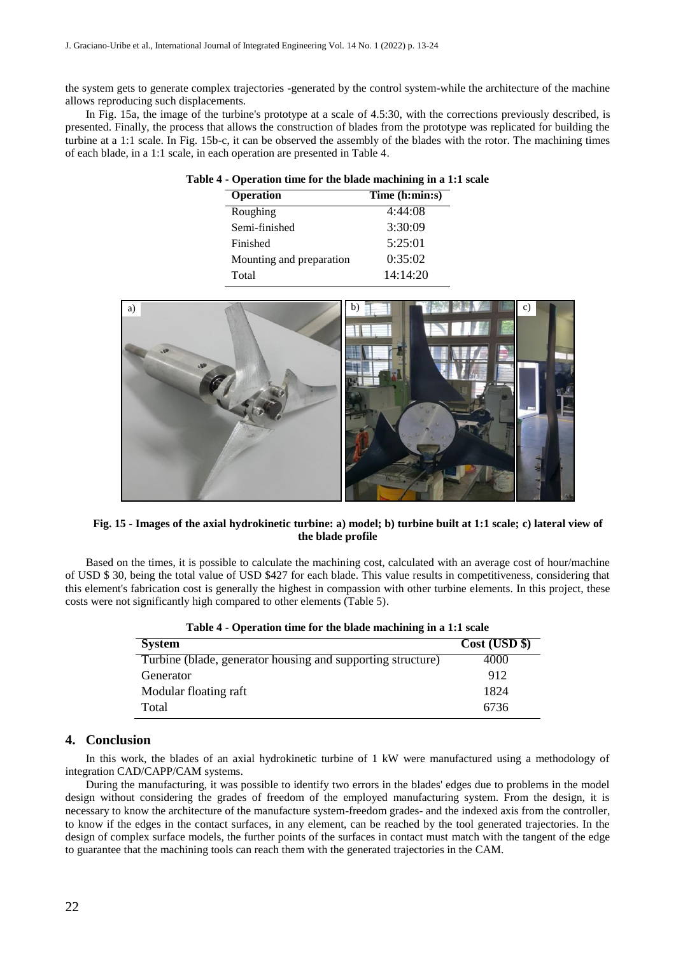the system gets to generate complex trajectories -generated by the control system-while the architecture of the machine allows reproducing such displacements.

In Fig. 15a, the image of the turbine's prototype at a scale of 4.5:30, with the corrections previously described, is presented. Finally, the process that allows the construction of blades from the prototype was replicated for building the turbine at a 1:1 scale. In Fig. 15b-c, it can be observed the assembly of the blades with the rotor. The machining times of each blade, in a 1:1 scale, in each operation are presented in Table 4.

| Table 4 - Operation time for the blade machining in a 1:1 scale |                |  |  |
|-----------------------------------------------------------------|----------------|--|--|
| <b>Operation</b>                                                | Time (h:min:s) |  |  |
| Roughing                                                        | 4:44:08        |  |  |
| Semi-finished                                                   | 3:30:09        |  |  |

Finished 5:25:01 Mounting and preparation 0:35:02 Total 14:14:20

| a)                 | b) | c) |  |
|--------------------|----|----|--|
| $-88$<br><b>SP</b> |    |    |  |
|                    |    |    |  |
|                    |    |    |  |
|                    |    |    |  |
|                    |    |    |  |

#### **Fig. 15 - Images of the axial hydrokinetic turbine: a) model; b) turbine built at 1:1 scale; c) lateral view of the blade profile**

Based on the times, it is possible to calculate the machining cost, calculated with an average cost of hour/machine of USD \$ 30, being the total value of USD \$427 for each blade. This value results in competitiveness, considering that this element's fabrication cost is generally the highest in compassion with other turbine elements. In this project, these costs were not significantly high compared to other elements (Table 5).

| <b>System</b>                                               | Cost (USD \$) |
|-------------------------------------------------------------|---------------|
| Turbine (blade, generator housing and supporting structure) | 4000          |
| Generator                                                   | 912           |
| Modular floating raft                                       | 1824          |
| Total                                                       | 6736          |

|  |  |  |  | Table 4 - Operation time for the blade machining in a 1:1 scale |
|--|--|--|--|-----------------------------------------------------------------|
|--|--|--|--|-----------------------------------------------------------------|

## **4. Conclusion**

In this work, the blades of an axial hydrokinetic turbine of 1 kW were manufactured using a methodology of integration CAD/CAPP/CAM systems.

During the manufacturing, it was possible to identify two errors in the blades' edges due to problems in the model design without considering the grades of freedom of the employed manufacturing system. From the design, it is necessary to know the architecture of the manufacture system-freedom grades- and the indexed axis from the controller, to know if the edges in the contact surfaces, in any element, can be reached by the tool generated trajectories. In the design of complex surface models, the further points of the surfaces in contact must match with the tangent of the edge to guarantee that the machining tools can reach them with the generated trajectories in the CAM.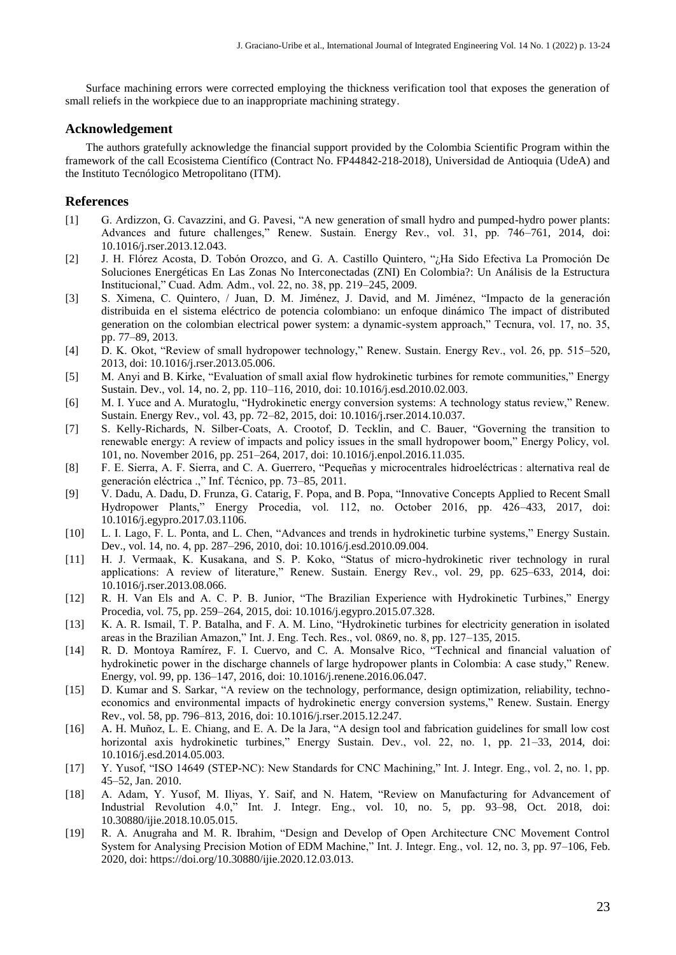Surface machining errors were corrected employing the thickness verification tool that exposes the generation of small reliefs in the workpiece due to an inappropriate machining strategy.

## **Acknowledgement**

The authors gratefully acknowledge the financial support provided by the Colombia Scientific Program within the framework of the call Ecosistema Científico (Contract No. FP44842-218-2018), Universidad de Antioquia (UdeA) and the Instituto Tecnólogico Metropolitano (ITM).

#### **References**

- [1] G. Ardizzon, G. Cavazzini, and G. Pavesi, "A new generation of small hydro and pumped-hydro power plants: Advances and future challenges," Renew. Sustain. Energy Rev., vol. 31, pp. 746–761, 2014, doi: 10.1016/j.rser.2013.12.043.
- [2] J. H. Flórez Acosta, D. Tobón Orozco, and G. A. Castillo Quintero, "¿Ha Sido Efectiva La Promoción De Soluciones Energéticas En Las Zonas No Interconectadas (ZNI) En Colombia?: Un Análisis de la Estructura Institucional," Cuad. Adm. Adm., vol. 22, no. 38, pp. 219–245, 2009.
- [3] S. Ximena, C. Quintero, / Juan, D. M. Jiménez, J. David, and M. Jiménez, "Impacto de la generación distribuida en el sistema eléctrico de potencia colombiano: un enfoque dinámico The impact of distributed generation on the colombian electrical power system: a dynamic-system approach," Tecnura, vol. 17, no. 35, pp. 77–89, 2013.
- [4] D. K. Okot, "Review of small hydropower technology," Renew. Sustain. Energy Rev., vol. 26, pp. 515–520, 2013, doi: 10.1016/j.rser.2013.05.006.
- [5] M. Anyi and B. Kirke, "Evaluation of small axial flow hydrokinetic turbines for remote communities," Energy Sustain. Dev., vol. 14, no. 2, pp. 110–116, 2010, doi: 10.1016/j.esd.2010.02.003.
- [6] M. I. Yuce and A. Muratoglu, "Hydrokinetic energy conversion systems: A technology status review," Renew. Sustain. Energy Rev., vol. 43, pp. 72–82, 2015, doi: 10.1016/j.rser.2014.10.037.
- [7] S. Kelly-Richards, N. Silber-Coats, A. Crootof, D. Tecklin, and C. Bauer, "Governing the transition to renewable energy: A review of impacts and policy issues in the small hydropower boom," Energy Policy, vol. 101, no. November 2016, pp. 251–264, 2017, doi: 10.1016/j.enpol.2016.11.035.
- [8] F. E. Sierra, A. F. Sierra, and C. A. Guerrero, "Pequeñas y microcentrales hidroeléctricas : alternativa real de generación eléctrica .," Inf. Técnico, pp. 73–85, 2011.
- [9] V. Dadu, A. Dadu, D. Frunza, G. Catarig, F. Popa, and B. Popa, "Innovative Concepts Applied to Recent Small Hydropower Plants," Energy Procedia, vol. 112, no. October 2016, pp. 426–433, 2017, doi: 10.1016/j.egypro.2017.03.1106.
- [10] L. I. Lago, F. L. Ponta, and L. Chen, "Advances and trends in hydrokinetic turbine systems," Energy Sustain. Dev., vol. 14, no. 4, pp. 287–296, 2010, doi: 10.1016/j.esd.2010.09.004.
- [11] H. J. Vermaak, K. Kusakana, and S. P. Koko, "Status of micro-hydrokinetic river technology in rural applications: A review of literature," Renew. Sustain. Energy Rev., vol. 29, pp. 625–633, 2014, doi: 10.1016/j.rser.2013.08.066.
- [12] R. H. Van Els and A. C. P. B. Junior, "The Brazilian Experience with Hydrokinetic Turbines," Energy Procedia, vol. 75, pp. 259–264, 2015, doi: 10.1016/j.egypro.2015.07.328.
- [13] K. A. R. Ismail, T. P. Batalha, and F. A. M. Lino, "Hydrokinetic turbines for electricity generation in isolated areas in the Brazilian Amazon," Int. J. Eng. Tech. Res., vol. 0869, no. 8, pp. 127–135, 2015.
- [14] R. D. Montoya Ramírez, F. I. Cuervo, and C. A. Monsalve Rico, "Technical and financial valuation of hydrokinetic power in the discharge channels of large hydropower plants in Colombia: A case study," Renew. Energy, vol. 99, pp. 136–147, 2016, doi: 10.1016/j.renene.2016.06.047.
- [15] D. Kumar and S. Sarkar, "A review on the technology, performance, design optimization, reliability, technoeconomics and environmental impacts of hydrokinetic energy conversion systems," Renew. Sustain. Energy Rev., vol. 58, pp. 796–813, 2016, doi: 10.1016/j.rser.2015.12.247.
- [16] A. H. Muñoz, L. E. Chiang, and E. A. De la Jara, "A design tool and fabrication guidelines for small low cost horizontal axis hydrokinetic turbines," Energy Sustain. Dev., vol. 22, no. 1, pp. 21-33, 2014, doi: 10.1016/j.esd.2014.05.003.
- [17] Y. Yusof, "ISO 14649 (STEP-NC): New Standards for CNC Machining," Int. J. Integr. Eng., vol. 2, no. 1, pp. 45–52, Jan. 2010.
- [18] A. Adam, Y. Yusof, M. Iliyas, Y. Saif, and N. Hatem, "Review on Manufacturing for Advancement of Industrial Revolution 4.0," Int. J. Integr. Eng., vol. 10, no. 5, pp. 93–98, Oct. 2018, doi: 10.30880/ijie.2018.10.05.015.
- [19] R. A. Anugraha and M. R. Ibrahim, "Design and Develop of Open Architecture CNC Movement Control System for Analysing Precision Motion of EDM Machine," Int. J. Integr. Eng., vol. 12, no. 3, pp. 97–106, Feb. 2020, doi: https://doi.org/10.30880/ijie.2020.12.03.013.